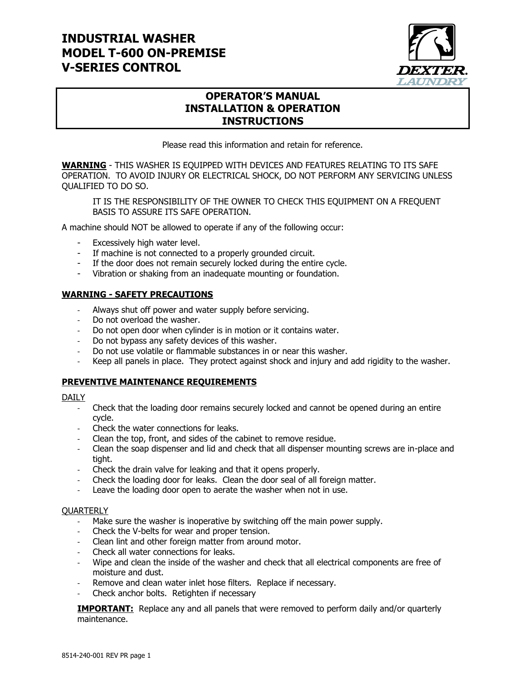### **INDUSTRIAL WASHER MODEL T-600 ON-PREMISE V-SERIES CONTROL**



#### **OPERATOR'S MANUAL INSTALLATION & OPERATION INSTRUCTIONS**

Please read this information and retain for reference.

**WARNING** - THIS WASHER IS EQUIPPED WITH DEVICES AND FEATURES RELATING TO ITS SAFE OPERATION. TO AVOID INJURY OR ELECTRICAL SHOCK, DO NOT PERFORM ANY SERVICING UNLESS QUALIFIED TO DO SO.

IT IS THE RESPONSIBILITY OF THE OWNER TO CHECK THIS EQUIPMENT ON A FREQUENT BASIS TO ASSURE ITS SAFE OPERATION.

A machine should NOT be allowed to operate if any of the following occur:

- Excessively high water level.
- If machine is not connected to a properly grounded circuit.
- If the door does not remain securely locked during the entire cycle.
- Vibration or shaking from an inadequate mounting or foundation.

#### **WARNING - SAFETY PRECAUTIONS**

- Always shut off power and water supply before servicing.
- Do not overload the washer.
- Do not open door when cylinder is in motion or it contains water.
- Do not bypass any safety devices of this washer.
- Do not use volatile or flammable substances in or near this washer.
- Keep all panels in place. They protect against shock and injury and add rigidity to the washer.

#### **PREVENTIVE MAINTENANCE REQUIREMENTS**

#### DAILY

- Check that the loading door remains securely locked and cannot be opened during an entire cycle.
- Check the water connections for leaks.
- Clean the top, front, and sides of the cabinet to remove residue.
- Clean the soap dispenser and lid and check that all dispenser mounting screws are in-place and tight.
- Check the drain valve for leaking and that it opens properly.
- Check the loading door for leaks. Clean the door seal of all foreign matter.
- Leave the loading door open to aerate the washer when not in use.

#### **QUARTERLY**

- Make sure the washer is inoperative by switching off the main power supply.
- Check the V-belts for wear and proper tension.
- Clean lint and other foreign matter from around motor.
- Check all water connections for leaks.
- Wipe and clean the inside of the washer and check that all electrical components are free of moisture and dust.
- Remove and clean water inlet hose filters. Replace if necessary.
- Check anchor bolts. Retighten if necessary

**IMPORTANT:** Replace any and all panels that were removed to perform daily and/or quarterly maintenance.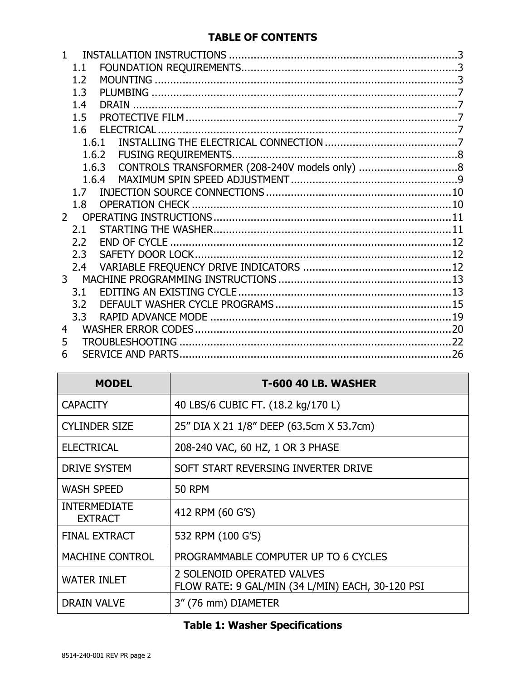### **TABLE OF CONTENTS**

|                | 1.1   |                   |  |
|----------------|-------|-------------------|--|
|                | 1.2   |                   |  |
|                | 1.3   |                   |  |
|                | 1.4   | <b>DRAIN</b>      |  |
|                | 1.5   |                   |  |
|                | 1.6   | <b>ELECTRICAL</b> |  |
|                | 1.6.1 |                   |  |
|                | 1.6.2 |                   |  |
|                | 1.6.3 |                   |  |
|                | 1.6.4 |                   |  |
|                | 1.7   |                   |  |
|                | 1.8   |                   |  |
| $\mathcal{P}$  |       |                   |  |
|                | 2.1   |                   |  |
|                | 2.2   |                   |  |
|                | 2.3   |                   |  |
|                | 2.4   |                   |  |
| 3 <sup>7</sup> |       |                   |  |
|                | 3.1   |                   |  |
|                | 3.2   |                   |  |
|                | 3.3   |                   |  |
| 4              |       |                   |  |
| 5              |       |                   |  |
| 6              |       |                   |  |

| <b>MODEL</b>                          | <b>T-600 40 LB. WASHER</b>                                                     |
|---------------------------------------|--------------------------------------------------------------------------------|
| <b>CAPACITY</b>                       | 40 LBS/6 CUBIC FT. (18.2 kg/170 L)                                             |
| <b>CYLINDER SIZE</b>                  | 25" DIA X 21 1/8" DEEP (63.5cm X 53.7cm)                                       |
| <b>ELECTRICAL</b>                     | 208-240 VAC, 60 HZ, 1 OR 3 PHASE                                               |
| <b>DRIVE SYSTEM</b>                   | SOFT START REVERSING INVERTER DRIVE                                            |
| <b>WASH SPEED</b>                     | <b>50 RPM</b>                                                                  |
| <b>INTERMEDIATE</b><br><b>EXTRACT</b> | 412 RPM (60 G'S)                                                               |
| <b>FINAL EXTRACT</b>                  | 532 RPM (100 G'S)                                                              |
| <b>MACHINE CONTROL</b>                | PROGRAMMABLE COMPUTER UP TO 6 CYCLES                                           |
| <b>WATER INLET</b>                    | 2 SOLENOID OPERATED VALVES<br>FLOW RATE: 9 GAL/MIN (34 L/MIN) EACH, 30-120 PSI |
| <b>DRAIN VALVE</b>                    | 3" (76 mm) DIAMETER                                                            |

# **Table 1: Washer Specifications**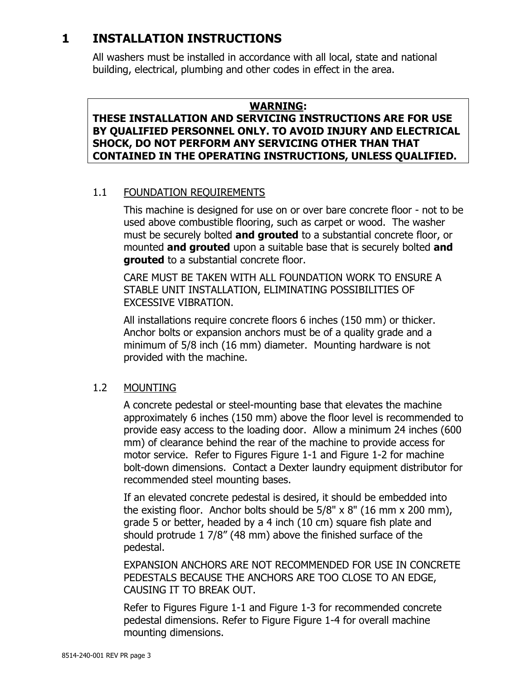# <span id="page-2-0"></span>**1 INSTALLATION INSTRUCTIONS**

All washers must be installed in accordance with all local, state and national building, electrical, plumbing and other codes in effect in the area.

#### **WARNING:**

#### **THESE INSTALLATION AND SERVICING INSTRUCTIONS ARE FOR USE BY QUALIFIED PERSONNEL ONLY. TO AVOID INJURY AND ELECTRICAL SHOCK, DO NOT PERFORM ANY SERVICING OTHER THAN THAT CONTAINED IN THE OPERATING INSTRUCTIONS, UNLESS QUALIFIED.**

### <span id="page-2-2"></span><span id="page-2-1"></span>1.1 FOUNDATION REQUIREMENTS

This machine is designed for use on or over bare concrete floor - not to be used above combustible flooring, such as carpet or wood. The washer must be securely bolted **and grouted** to a substantial concrete floor, or mounted **and grouted** upon a suitable base that is securely bolted **and grouted** to a substantial concrete floor.

CARE MUST BE TAKEN WITH ALL FOUNDATION WORK TO ENSURE A STABLE UNIT INSTALLATION, ELIMINATING POSSIBILITIES OF EXCESSIVE VIBRATION.

All installations require concrete floors 6 inches (150 mm) or thicker. Anchor bolts or expansion anchors must be of a quality grade and a minimum of 5/8 inch (16 mm) diameter. Mounting hardware is not provided with the machine.

#### 1.2 MOUNTING

A concrete pedestal or steel-mounting base that elevates the machine approximately 6 inches (150 mm) above the floor level is recommended to provide easy access to the loading door. Allow a minimum 24 inches (600 mm) of clearance behind the rear of the machine to provide access for motor service. Refer to Figures [Figure](#page-3-0) 1-1 and [Figure](#page-3-1) 1-2 for machine bolt-down dimensions. Contact a Dexter laundry equipment distributor for recommended steel mounting bases.

If an elevated concrete pedestal is desired, it should be embedded into the existing floor. Anchor bolts should be  $5/8" \times 8"$  (16 mm  $\times$  200 mm), grade 5 or better, headed by a 4 inch (10 cm) square fish plate and should protrude 1 7/8" (48 mm) above the finished surface of the pedestal.

EXPANSION ANCHORS ARE NOT RECOMMENDED FOR USE IN CONCRETE PEDESTALS BECAUSE THE ANCHORS ARE TOO CLOSE TO AN EDGE, CAUSING IT TO BREAK OUT.

Refer to Figures [Figure](#page-3-0) 1-1 and [Figure](#page-4-0) 1-3 for recommended concrete pedestal dimensions. Refer to Figure [Figure](#page-5-0) 1-4 for overall machine mounting dimensions.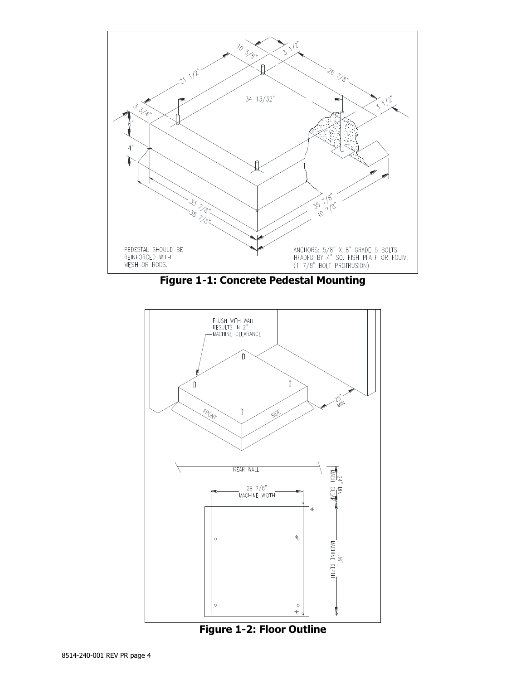

**Figure 1-1: Concrete Pedestal Mounting**

<span id="page-3-0"></span>

<span id="page-3-1"></span>**Figure 1-2: Floor Outline**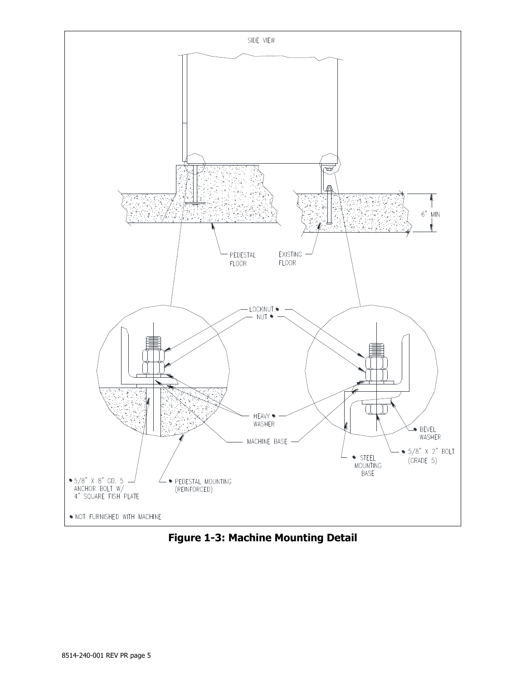

<span id="page-4-0"></span>**Figure 1-3: Machine Mounting Detail**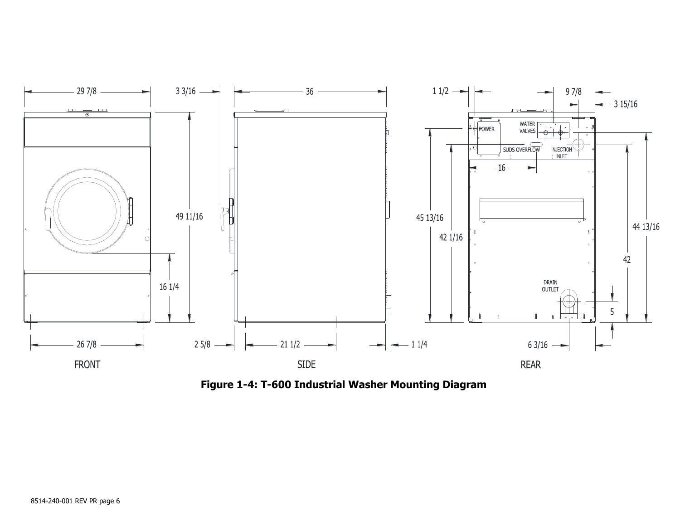

<span id="page-5-0"></span>**Figure 1-4: T-600 Industrial Washer Mounting Diagram**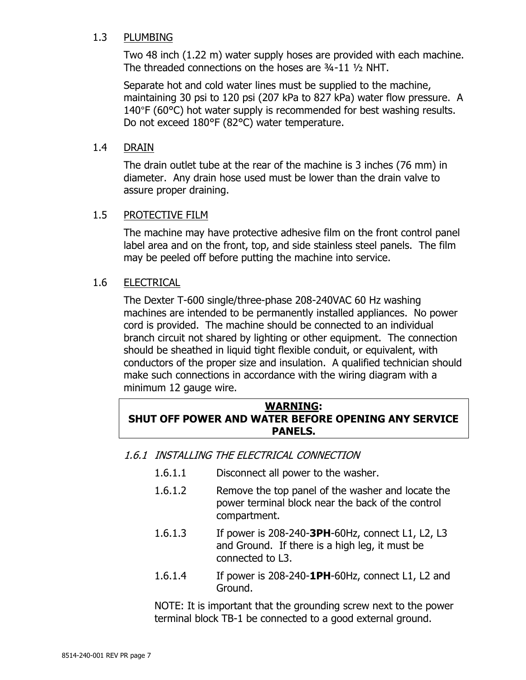#### <span id="page-6-0"></span>1.3 PLUMBING

Two 48 inch (1.22 m) water supply hoses are provided with each machine. The threaded connections on the hoses are ¾-11 ½ NHT.

Separate hot and cold water lines must be supplied to the machine, maintaining 30 psi to 120 psi (207 kPa to 827 kPa) water flow pressure. A 140°F (60°C) hot water supply is recommended for best washing results. Do not exceed 180°F (82°C) water temperature.

#### <span id="page-6-1"></span>1.4 DRAIN

The drain outlet tube at the rear of the machine is 3 inches (76 mm) in diameter. Any drain hose used must be lower than the drain valve to assure proper draining.

#### <span id="page-6-2"></span>1.5 PROTECTIVE FILM

The machine may have protective adhesive film on the front control panel label area and on the front, top, and side stainless steel panels. The film may be peeled off before putting the machine into service.

#### <span id="page-6-3"></span>1.6 ELECTRICAL

The Dexter T-600 single/three-phase 208-240VAC 60 Hz washing machines are intended to be permanently installed appliances. No power cord is provided. The machine should be connected to an individual branch circuit not shared by lighting or other equipment. The connection should be sheathed in liquid tight flexible conduit, or equivalent, with conductors of the proper size and insulation. A qualified technician should make such connections in accordance with the wiring diagram with a minimum 12 gauge wire.

#### **WARNING: SHUT OFF POWER AND WATER BEFORE OPENING ANY SERVICE PANELS.**

<span id="page-6-4"></span>1.6.1 INSTALLING THE ELECTRICAL CONNECTION

- 1.6.1.1 Disconnect all power to the washer.
- 1.6.1.2 Remove the top panel of the washer and locate the power terminal block near the back of the control compartment.
- 1.6.1.3 If power is 208-240-**3PH**-60Hz, connect L1, L2, L3 and Ground. If there is a high leg, it must be connected to L3.
- 1.6.1.4 If power is 208-240-**1PH**-60Hz, connect L1, L2 and Ground.

<span id="page-6-5"></span>NOTE: It is important that the grounding screw next to the power terminal block TB-1 be connected to a good external ground.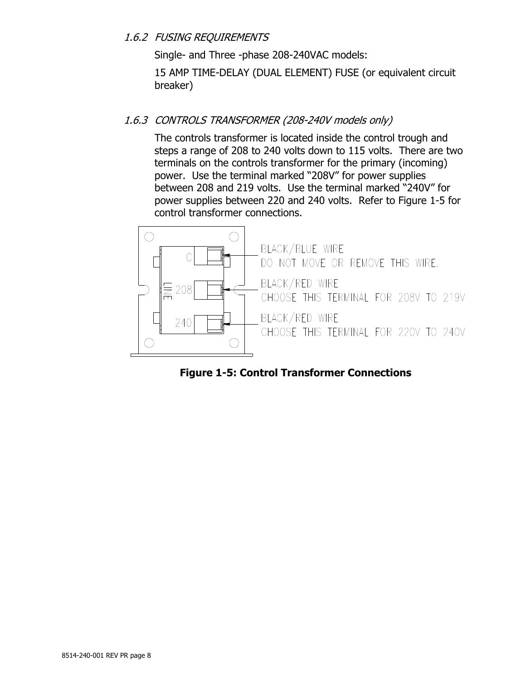#### <span id="page-7-0"></span>1.6.2 FUSING REQUIREMENTS

Single- and Three -phase 208-240VAC models:

15 AMP TIME-DELAY (DUAL ELEMENT) FUSE (or equivalent circuit breaker)

#### 1.6.3 CONTROLS TRANSFORMER (208-240V models only)

The controls transformer is located inside the control trough and steps a range of 208 to 240 volts down to 115 volts. There are two terminals on the controls transformer for the primary (incoming) power. Use the terminal marked "208V" for power supplies between 208 and 219 volts. Use the terminal marked "240V" for power supplies between 220 and 240 volts. Refer to [Figure 1-5](#page-7-1) for control transformer connections.



<span id="page-7-1"></span>**Figure 1-5: Control Transformer Connections**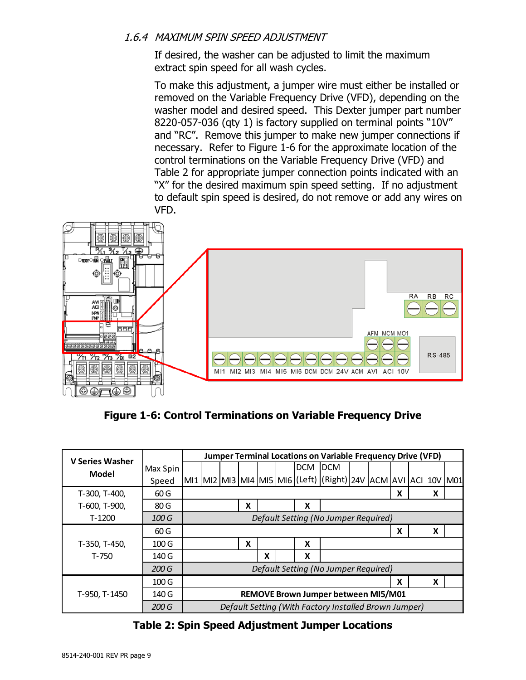#### <span id="page-8-0"></span>1.6.4 MAXIMUM SPIN SPEED ADJUSTMENT

If desired, the washer can be adjusted to limit the maximum extract spin speed for all wash cycles.

To make this adjustment, a jumper wire must either be installed or removed on the Variable Frequency Drive (VFD), depending on the washer model and desired speed. This Dexter jumper part number 8220-057-036 (qty 1) is factory supplied on terminal points "10V" and "RC". Remove this jumper to make new jumper connections if necessary. Refer to [Figure 1-6](#page-8-1) for the approximate location of the control terminations on the Variable Frequency Drive (VFD) and [Table 2](#page-8-2) for appropriate jumper connection points indicated with an "X" for the desired maximum spin speed setting. If no adjustment to default spin speed is desired, do not remove or add any wires on VFD.



**Figure 1-6: Control Terminations on Variable Frequency Drive**

<span id="page-8-1"></span>

| <b>V Series Washer</b>                                   |                  |                                      | <b>Jumper Terminal Locations on Variable Frequency Drive (VFD)</b> |  |   |   |  |         |                                                                             |  |  |   |   |  |
|----------------------------------------------------------|------------------|--------------------------------------|--------------------------------------------------------------------|--|---|---|--|---------|-----------------------------------------------------------------------------|--|--|---|---|--|
| Model                                                    | Max Spin         |                                      |                                                                    |  |   |   |  | DCM DCM |                                                                             |  |  |   |   |  |
|                                                          | Speed            |                                      |                                                                    |  |   |   |  |         | MI1  MI2  MI3  MI4  MI5  MI6  (Left)  (Right)  24V  ACM  AVI  ACI  10V  M01 |  |  |   |   |  |
| T-300, T-400,                                            | 60G              |                                      |                                                                    |  |   |   |  |         |                                                                             |  |  | X | X |  |
| T-600, T-900,                                            | 80G              |                                      |                                                                    |  | X |   |  | X       |                                                                             |  |  |   |   |  |
| Default Setting (No Jumper Required)<br>$T-1200$<br>100G |                  |                                      |                                                                    |  |   |   |  |         |                                                                             |  |  |   |   |  |
|                                                          | 60G              |                                      |                                                                    |  |   |   |  |         |                                                                             |  |  | X | X |  |
| T-350, T-450,                                            | 100 <sub>G</sub> |                                      |                                                                    |  | X |   |  | X       |                                                                             |  |  |   |   |  |
| T-750                                                    | 140 G            |                                      |                                                                    |  |   | x |  | X       |                                                                             |  |  |   |   |  |
|                                                          | 200G             | Default Setting (No Jumper Required) |                                                                    |  |   |   |  |         |                                                                             |  |  |   |   |  |
|                                                          | 100 <sub>G</sub> |                                      | X<br>X                                                             |  |   |   |  |         |                                                                             |  |  |   |   |  |
| T-950, T-1450                                            | 140 G            |                                      |                                                                    |  |   |   |  |         | REMOVE Brown Jumper between MI5/M01                                         |  |  |   |   |  |
|                                                          | 200 G            |                                      |                                                                    |  |   |   |  |         | Default Setting (With Factory Installed Brown Jumper)                       |  |  |   |   |  |

#### <span id="page-8-2"></span>**Table 2: Spin Speed Adjustment Jumper Locations**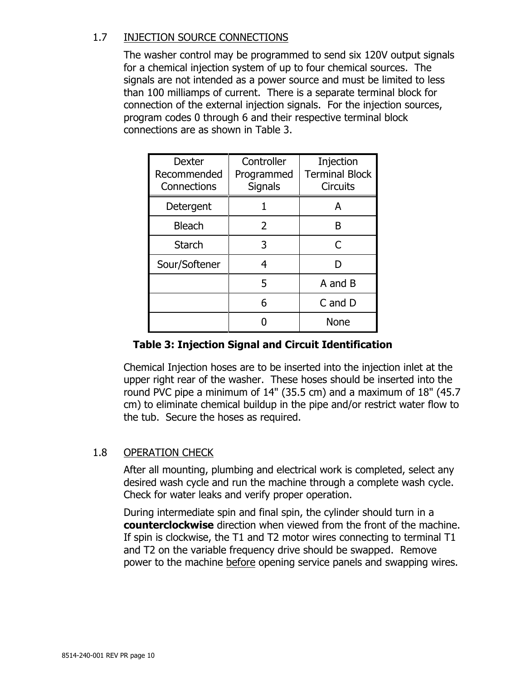#### <span id="page-9-0"></span>1.7 INJECTION SOURCE CONNECTIONS

The washer control may be programmed to send six 120V output signals for a chemical injection system of up to four chemical sources. The signals are not intended as a power source and must be limited to less than 100 milliamps of current. There is a separate terminal block for connection of the external injection signals. For the injection sources, program codes 0 through 6 and their respective terminal block connections are as shown in [Table 3.](#page-9-2)

| Dexter<br>Recommended<br>Connections | Controller<br>Programmed<br><b>Signals</b> | Injection<br><b>Terminal Block</b><br><b>Circuits</b> |
|--------------------------------------|--------------------------------------------|-------------------------------------------------------|
| Detergent                            |                                            | А                                                     |
| <b>Bleach</b>                        | 2                                          | B                                                     |
| Starch                               | 3                                          | C                                                     |
| Sour/Softener                        | 4                                          | D                                                     |
|                                      | 5                                          | A and B                                               |
|                                      | 6                                          | C and D                                               |
|                                      |                                            | None                                                  |

### **Table 3: Injection Signal and Circuit Identification**

<span id="page-9-2"></span>Chemical Injection hoses are to be inserted into the injection inlet at the upper right rear of the washer. These hoses should be inserted into the round PVC pipe a minimum of 14" (35.5 cm) and a maximum of 18" (45.7 cm) to eliminate chemical buildup in the pipe and/or restrict water flow to the tub. Secure the hoses as required.

#### <span id="page-9-1"></span>1.8 OPERATION CHECK

After all mounting, plumbing and electrical work is completed, select any desired wash cycle and run the machine through a complete wash cycle. Check for water leaks and verify proper operation.

During intermediate spin and final spin, the cylinder should turn in a **counterclockwise** direction when viewed from the front of the machine. If spin is clockwise, the T1 and T2 motor wires connecting to terminal T1 and T2 on the variable frequency drive should be swapped. Remove power to the machine before opening service panels and swapping wires.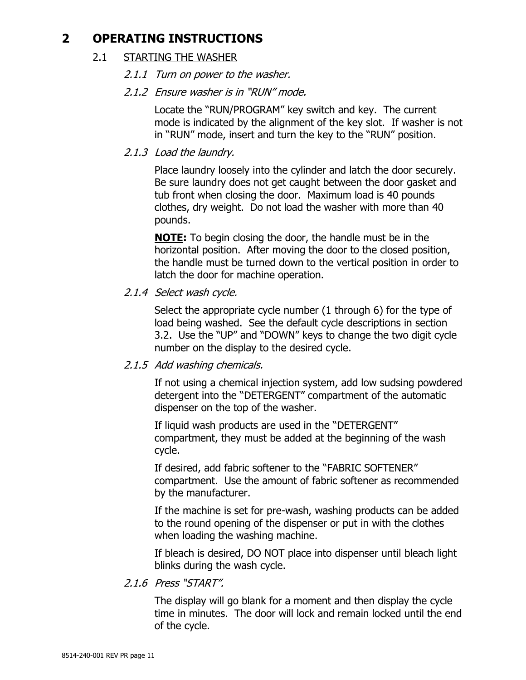## <span id="page-10-1"></span><span id="page-10-0"></span>**2 OPERATING INSTRUCTIONS**

#### 2.1 STARTING THE WASHER

- 2.1.1 Turn on power to the washer.
- 2.1.2 Ensure washer is in "RUN" mode.

Locate the "RUN/PROGRAM" key switch and key. The current mode is indicated by the alignment of the key slot. If washer is not in "RUN" mode, insert and turn the key to the "RUN" position.

2.1.3 Load the laundry.

Place laundry loosely into the cylinder and latch the door securely. Be sure laundry does not get caught between the door gasket and tub front when closing the door. Maximum load is 40 pounds clothes, dry weight. Do not load the washer with more than 40 pounds.

**NOTE:** To begin closing the door, the handle must be in the horizontal position. After moving the door to the closed position, the handle must be turned down to the vertical position in order to latch the door for machine operation.

2.1.4 Select wash cycle.

Select the appropriate cycle number (1 through 6) for the type of load being washed. See the default cycle descriptions in section [3.2.](#page-14-0) Use the "UP" and "DOWN" keys to change the two digit cycle number on the display to the desired cycle.

2.1.5 Add washing chemicals.

If not using a chemical injection system, add low sudsing powdered detergent into the "DETERGENT" compartment of the automatic dispenser on the top of the washer.

If liquid wash products are used in the "DETERGENT" compartment, they must be added at the beginning of the wash cycle.

If desired, add fabric softener to the "FABRIC SOFTENER" compartment. Use the amount of fabric softener as recommended by the manufacturer.

If the machine is set for pre-wash, washing products can be added to the round opening of the dispenser or put in with the clothes when loading the washing machine.

If bleach is desired, DO NOT place into dispenser until bleach light blinks during the wash cycle.

2.1.6 Press "START".

The display will go blank for a moment and then display the cycle time in minutes. The door will lock and remain locked until the end of the cycle.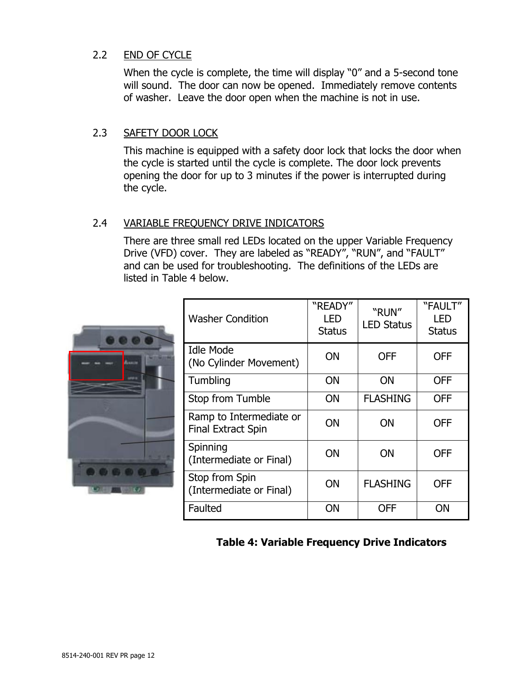#### <span id="page-11-0"></span>2.2 END OF CYCLE

When the cycle is complete, the time will display "0" and a 5-second tone will sound. The door can now be opened. Immediately remove contents of washer. Leave the door open when the machine is not in use.

#### <span id="page-11-1"></span>2.3 SAFETY DOOR LOCK

This machine is equipped with a safety door lock that locks the door when the cycle is started until the cycle is complete. The door lock prevents opening the door for up to 3 minutes if the power is interrupted during the cycle.

### <span id="page-11-2"></span>2.4 VARIABLE FREQUENCY DRIVE INDICATORS

There are three small red LEDs located on the upper Variable Frequency Drive (VFD) cover. They are labeled as "READY", "RUN", and "FAULT" and can be used for troubleshooting. The definitions of the LEDs are listed in [Table 4](#page-11-3) below.



| <b>Washer Condition</b>                              | "READY"<br><b>LED</b><br><b>Status</b> | "RUN"<br><b>LED Status</b> | "FAULT"<br>LED<br><b>Status</b> |
|------------------------------------------------------|----------------------------------------|----------------------------|---------------------------------|
| <b>Idle Mode</b><br>(No Cylinder Movement)           | ON                                     | <b>OFF</b>                 | <b>OFF</b>                      |
| Tumbling                                             | ON                                     | ON                         | <b>OFF</b>                      |
| Stop from Tumble                                     | ON                                     | <b>FLASHING</b>            | <b>OFF</b>                      |
| Ramp to Intermediate or<br><b>Final Extract Spin</b> | ON                                     | ΟN                         | <b>OFF</b>                      |
| Spinning<br>(Intermediate or Final)                  | ON                                     | ON                         | <b>OFF</b>                      |
| Stop from Spin<br>(Intermediate or Final)            | ON                                     | <b>FLASHING</b>            | <b>OFF</b>                      |
| Faulted                                              | ΟN                                     | OFF                        | ΟN                              |

<span id="page-11-3"></span>**Table 4: Variable Frequency Drive Indicators**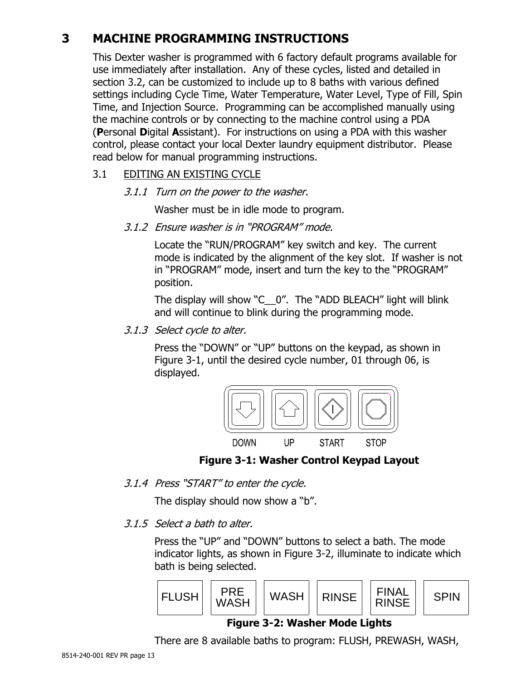# <span id="page-12-0"></span>**3 MACHINE PROGRAMMING INSTRUCTIONS**

This Dexter washer is programmed with 6 factory default programs available for use immediately after installation. Any of these cycles, listed and detailed in section [3.2,](#page-14-0) can be customized to include up to 8 baths with various defined settings including Cycle Time, Water Temperature, Water Level, Type of Fill, Spin Time, and Injection Source. Programming can be accomplished manually using the machine controls or by connecting to the machine control using a PDA (**P**ersonal **D**igital **A**ssistant). For instructions on using a PDA with this washer control, please contact your local Dexter laundry equipment distributor. Please read below for manual programming instructions.

### <span id="page-12-1"></span>3.1 EDITING AN EXISTING CYCLE

3.1.1 Turn on the power to the washer.

Washer must be in idle mode to program.

3.1.2 Ensure washer is in "PROGRAM" mode.

Locate the "RUN/PROGRAM" key switch and key. The current mode is indicated by the alignment of the key slot. If washer is not in "PROGRAM" mode, insert and turn the key to the "PROGRAM" position.

The display will show "C\_\_0". The "ADD BLEACH" light will blink and will continue to blink during the programming mode.

<span id="page-12-5"></span>3.1.3 Select cycle to alter.

Press the "DOWN" or "UP" buttons on the keypad, as shown in [Figure 3-1,](#page-12-2) until the desired cycle number, 01 through 06, is displayed.



**Figure 3-1: Washer Control Keypad Layout**

<span id="page-12-2"></span>3.1.4 Press "START" to enter the cycle.

The display should now show a "b".

<span id="page-12-4"></span>3.1.5 Select a bath to alter.

Press the "UP" and "DOWN" buttons to select a bath. The mode indicator lights, as shown in [Figure 3-2,](#page-12-3) illuminate to indicate which bath is being selected.



### **Figure 3-2: Washer Mode Lights**

<span id="page-12-3"></span>There are 8 available baths to program: FLUSH, PREWASH, WASH,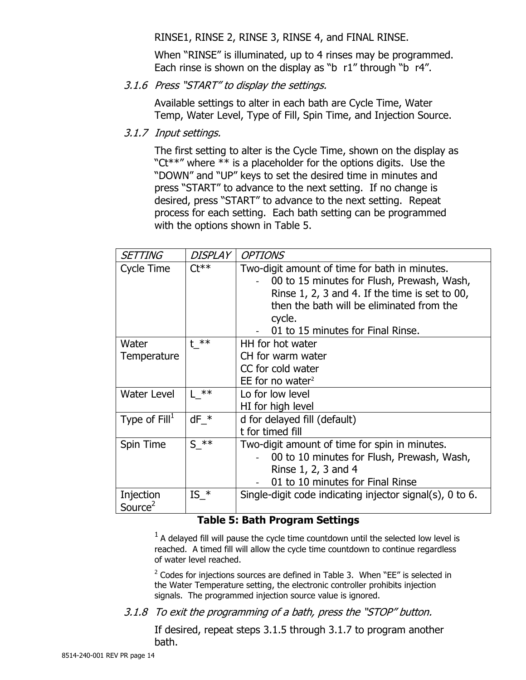RINSE1, RINSE 2, RINSE 3, RINSE 4, and FINAL RINSE.

When "RINSE" is illuminated, up to 4 rinses may be programmed. Each rinse is shown on the display as "b r1" through "b r4".

3.1.6 Press "START" to display the settings.

Available settings to alter in each bath are Cycle Time, Water Temp, Water Level, Type of Fill, Spin Time, and Injection Source.

<span id="page-13-1"></span>3.1.7 Input settings.

The first setting to alter is the Cycle Time, shown on the display as " $Ct***"$  where  $**$  is a placeholder for the options digits. Use the "DOWN" and "UP" keys to set the desired time in minutes and press "START" to advance to the next setting. If no change is desired, press "START" to advance to the next setting. Repeat process for each setting. Each bath setting can be programmed with the options shown in [Table 5.](#page-13-0)

| <b>SETTING</b>                   | <b>DISPLAY</b> | <b>OPTIONS</b>                                                                                                                                                                                                                              |
|----------------------------------|----------------|---------------------------------------------------------------------------------------------------------------------------------------------------------------------------------------------------------------------------------------------|
| Cycle Time                       | $C t**$        | Two-digit amount of time for bath in minutes.<br>00 to 15 minutes for Flush, Prewash, Wash,<br>Rinse $1, 2, 3$ and 4. If the time is set to 00,<br>then the bath will be eliminated from the<br>cycle.<br>01 to 15 minutes for Final Rinse. |
| Water<br>Temperature             | $t^{**}$       | HH for hot water<br>CH for warm water<br>CC for cold water<br>EE for no water <sup>2</sup>                                                                                                                                                  |
| <b>Water Level</b>               | $L$ **         | Lo for low level<br>HI for high level                                                                                                                                                                                                       |
| Type of $Fill^1$                 | $dF *$         | d for delayed fill (default)<br>t for timed fill                                                                                                                                                                                            |
| Spin Time                        | $S$ **         | Two-digit amount of time for spin in minutes.<br>00 to 10 minutes for Flush, Prewash, Wash,<br>Rinse 1, 2, 3 and 4<br>01 to 10 minutes for Final Rinse                                                                                      |
| Injection<br>Source <sup>2</sup> | $IS *$         | Single-digit code indicating injector signal(s), 0 to 6.                                                                                                                                                                                    |

#### **Table 5: Bath Program Settings**

<span id="page-13-0"></span> $<sup>1</sup>$  A delayed fill will pause the cycle time countdown until the selected low level is</sup> reached. A timed fill will allow the cycle time countdown to continue regardless of water level reached.

 $2$  Codes for injections sources are defined in [Table 3.](#page-9-2) When "EE" is selected in the Water Temperature setting, the electronic controller prohibits injection signals. The programmed injection source value is ignored.

<span id="page-13-2"></span>3.1.8 To exit the programming of a bath, press the "STOP" button.

If desired, repeat steps [3.1.5](#page-12-4) through [3.1.7](#page-13-1) to program another bath.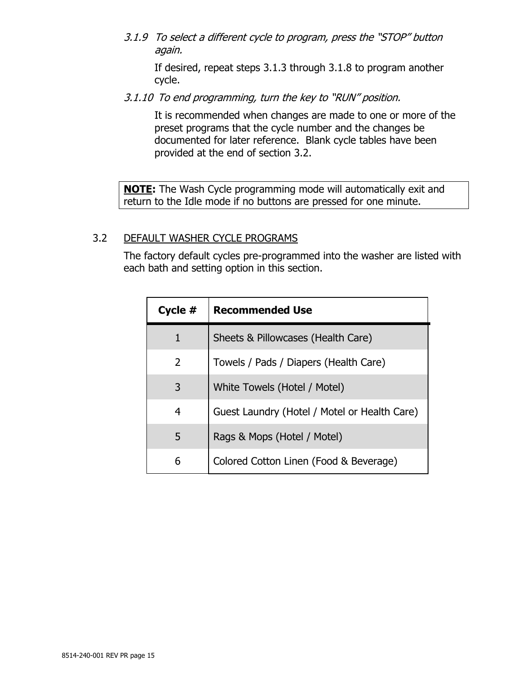3.1.9 To select a different cycle to program, press the "STOP" button again.

If desired, repeat steps [3.1.3](#page-12-5) through [3.1.8](#page-13-2) to program another cycle.

3.1.10 To end programming, turn the key to "RUN" position.

It is recommended when changes are made to one or more of the preset programs that the cycle number and the changes be documented for later reference. Blank cycle tables have been provided at the end of section [3.2.](#page-14-0)

**NOTE:** The Wash Cycle programming mode will automatically exit and return to the Idle mode if no buttons are pressed for one minute.

#### <span id="page-14-0"></span>3.2 DEFAULT WASHER CYCLE PROGRAMS

The factory default cycles pre-programmed into the washer are listed with each bath and setting option in this section.

| Cycle $#$ | <b>Recommended Use</b>                       |
|-----------|----------------------------------------------|
| 1         | Sheets & Pillowcases (Health Care)           |
| 2         | Towels / Pads / Diapers (Health Care)        |
| 3         | White Towels (Hotel / Motel)                 |
| 4         | Guest Laundry (Hotel / Motel or Health Care) |
| 5         | Rags & Mops (Hotel / Motel)                  |
| 6         | Colored Cotton Linen (Food & Beverage)       |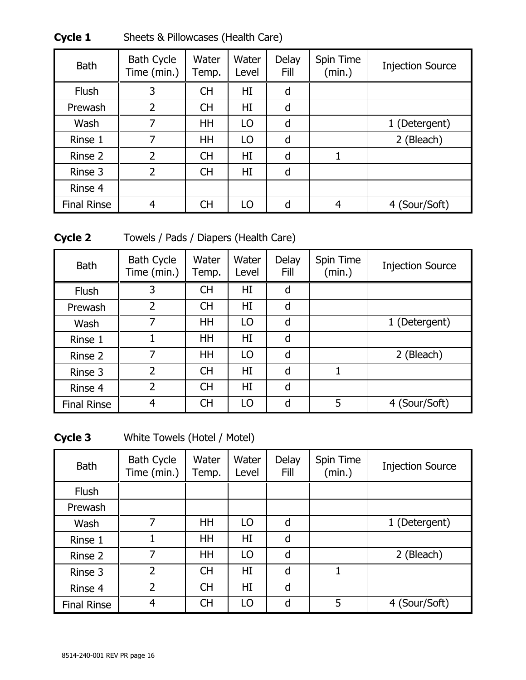| <b>Bath</b>        | <b>Bath Cycle</b><br>Time (min.) | Water<br>Temp. | Water<br>Level | <b>Delay</b><br>Fill | Spin Time<br>(min.) | <b>Injection Source</b> |
|--------------------|----------------------------------|----------------|----------------|----------------------|---------------------|-------------------------|
| <b>Flush</b>       | 3                                | <b>CH</b>      | HI             | d                    |                     |                         |
| Prewash            | 2                                | <b>CH</b>      | HI             | d                    |                     |                         |
| Wash               |                                  | HH             | LO             | d                    |                     | 1 (Detergent)           |
| Rinse 1            | 7                                | HH             | LO             | d                    |                     | 2 (Bleach)              |
| Rinse 2            | $\overline{\phantom{a}}$         | <b>CH</b>      | HI             | d                    |                     |                         |
| Rinse 3            | $\overline{2}$                   | <b>CH</b>      | HI             | d                    |                     |                         |
| Rinse 4            |                                  |                |                |                      |                     |                         |
| <b>Final Rinse</b> | 4                                | <b>CH</b>      | LO             | d                    | 4                   | 4 (Sour/Soft)           |

**Cycle 1** Sheets & Pillowcases (Health Care)

**Cycle 2** Towels / Pads / Diapers (Health Care)

| <b>Bath</b>        | <b>Bath Cycle</b><br>Time (min.) | Water<br>Temp. | Water<br>Level | <b>Delay</b><br>Fill | Spin Time<br>(min.) | <b>Injection Source</b> |
|--------------------|----------------------------------|----------------|----------------|----------------------|---------------------|-------------------------|
| <b>Flush</b>       | 3                                | СH             | HI             | d                    |                     |                         |
| Prewash            | $\overline{2}$                   | <b>CH</b>      | HI             | d                    |                     |                         |
| Wash               | 7                                | HH             | LO             | d                    |                     | 1 (Detergent)           |
| Rinse 1            |                                  | HH             | HI             | d                    |                     |                         |
| Rinse 2            | 7                                | HH             | LO             | d                    |                     | 2 (Bleach)              |
| Rinse 3            | $\overline{\phantom{a}}$         | <b>CH</b>      | HI             | d                    |                     |                         |
| Rinse 4            | $\overline{\phantom{a}}$         | <b>CH</b>      | HI             | d                    |                     |                         |
| <b>Final Rinse</b> | 4                                | <b>CH</b>      | LO             | d                    | 5                   | 4 (Sour/Soft)           |

**Cycle 3** White Towels (Hotel / Motel)

| <b>Bath</b>        | <b>Bath Cycle</b><br>Time (min.) | Water<br>Temp. | Water<br>Level | Delay<br>Fill | Spin Time<br>(min.) | <b>Injection Source</b> |
|--------------------|----------------------------------|----------------|----------------|---------------|---------------------|-------------------------|
| <b>Flush</b>       |                                  |                |                |               |                     |                         |
| Prewash            |                                  |                |                |               |                     |                         |
| Wash               | 7                                | HH             | LO             | d             |                     | 1 (Detergent)           |
| Rinse 1            |                                  | HH             | HI             | d             |                     |                         |
| Rinse 2            | 7                                | <b>HH</b>      | LO             | d             |                     | 2 (Bleach)              |
| Rinse 3            | $\overline{2}$                   | <b>CH</b>      | HI             | d             |                     |                         |
| Rinse 4            | $\overline{2}$                   | <b>CH</b>      | HI             | d             |                     |                         |
| <b>Final Rinse</b> | 4                                | <b>CH</b>      | LO             | d             | 5                   | 4 (Sour/Soft)           |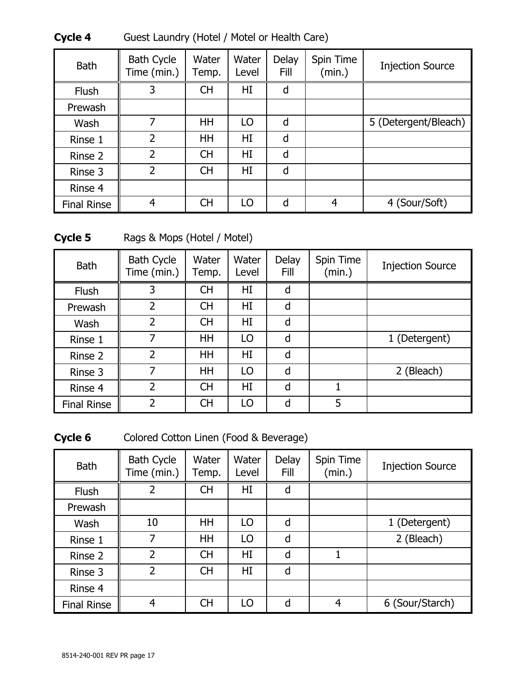| <b>Bath</b>        | <b>Bath Cycle</b><br>Time (min.) | Water<br>Temp. | Water<br>Level | Delay<br>Fill | Spin Time<br>(min.) | <b>Injection Source</b> |
|--------------------|----------------------------------|----------------|----------------|---------------|---------------------|-------------------------|
| <b>Flush</b>       | 3                                | <b>CH</b>      | HI             | d             |                     |                         |
| Prewash            |                                  |                |                |               |                     |                         |
| Wash               |                                  | HH             | LO             | d             |                     | 5 (Detergent/Bleach)    |
| Rinse 1            | $\overline{\phantom{a}}$         | HH             | HI             | d             |                     |                         |
| Rinse 2            | $\overline{\phantom{a}}$         | <b>CH</b>      | HI             | d             |                     |                         |
| Rinse 3            | $\overline{\phantom{a}}$         | <b>CH</b>      | HI             | d             |                     |                         |
| Rinse 4            |                                  |                |                |               |                     |                         |
| <b>Final Rinse</b> | 4                                | <b>CH</b>      | LO             | d             | 4                   | 4 (Sour/Soft)           |

**Cycle 4** Guest Laundry (Hotel / Motel or Health Care)

Cycle 5 Rags & Mops (Hotel / Motel)

| <b>Bath</b>        | <b>Bath Cycle</b><br>Time (min.) | Water<br>Temp. | Water<br>Level | Delay<br>Fill | Spin Time<br>(min.) | <b>Injection Source</b> |
|--------------------|----------------------------------|----------------|----------------|---------------|---------------------|-------------------------|
| <b>Flush</b>       | 3                                | <b>CH</b>      | HI             | d             |                     |                         |
| Prewash            | $\overline{2}$                   | <b>CH</b>      | HI             | d             |                     |                         |
| Wash               | $\overline{2}$                   | <b>CH</b>      | HI             | d             |                     |                         |
| Rinse 1            | 7                                | <b>HH</b>      | LO             | d             |                     | 1 (Detergent)           |
| Rinse 2            | $\overline{2}$                   | <b>HH</b>      | HI             | d             |                     |                         |
| Rinse 3            |                                  | HH             | LO             | d             |                     | 2 (Bleach)              |
| Rinse 4            | $\overline{\phantom{a}}$         | <b>CH</b>      | HI             | d             |                     |                         |
| <b>Final Rinse</b> | $\overline{\phantom{a}}$         | <b>CH</b>      | LO             | d             | 5                   |                         |

Cycle 6 Colored Cotton Linen (Food & Beverage)

| <b>Bath</b>        | <b>Bath Cycle</b><br>Time (min.) | Water<br>Temp. | Water<br>Level | Delay<br>Fill | Spin Time<br>(min.) | <b>Injection Source</b> |
|--------------------|----------------------------------|----------------|----------------|---------------|---------------------|-------------------------|
| <b>Flush</b>       | $\overline{2}$                   | <b>CH</b>      | HI             | d             |                     |                         |
| Prewash            |                                  |                |                |               |                     |                         |
| Wash               | 10                               | HH             | LO             | d             |                     | 1 (Detergent)           |
| Rinse 1            | 7                                | HH             | LO             | d             |                     | 2 (Bleach)              |
| Rinse 2            | $\overline{2}$                   | <b>CH</b>      | HI             | d             |                     |                         |
| Rinse 3            | $\overline{2}$                   | <b>CH</b>      | HI             | d             |                     |                         |
| Rinse 4            |                                  |                |                |               |                     |                         |
| <b>Final Rinse</b> | 4                                | <b>CH</b>      | LO             | d             | 4                   | 6 (Sour/Starch)         |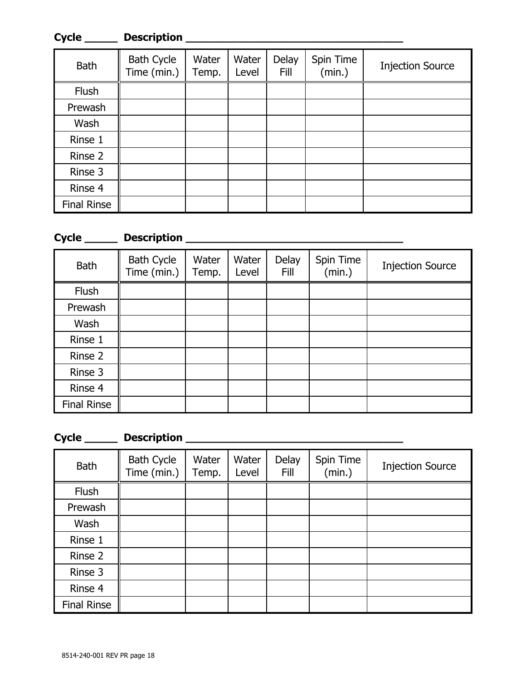| Cycle              | <b>Description</b>               |                |                |                      |                     |                         |
|--------------------|----------------------------------|----------------|----------------|----------------------|---------------------|-------------------------|
| <b>Bath</b>        | <b>Bath Cycle</b><br>Time (min.) | Water<br>Temp. | Water<br>Level | Delay<br><b>Fill</b> | Spin Time<br>(min.) | <b>Injection Source</b> |
| Flush              |                                  |                |                |                      |                     |                         |
| Prewash            |                                  |                |                |                      |                     |                         |
| Wash               |                                  |                |                |                      |                     |                         |
| Rinse 1            |                                  |                |                |                      |                     |                         |
| Rinse 2            |                                  |                |                |                      |                     |                         |
| Rinse 3            |                                  |                |                |                      |                     |                         |
| Rinse 4            |                                  |                |                |                      |                     |                         |
| <b>Final Rinse</b> |                                  |                |                |                      |                     |                         |

### **Cycle \_\_\_\_\_ Description \_\_\_\_\_\_\_\_\_\_\_\_\_\_\_\_\_\_\_\_\_\_\_\_\_\_\_\_\_\_\_\_\_**

| <b>Bath</b>        | <b>Bath Cycle</b><br>Time (min.) | Water<br>Temp. | Water<br>Level | Delay<br><b>Fill</b> | Spin Time<br>(min.) | <b>Injection Source</b> |
|--------------------|----------------------------------|----------------|----------------|----------------------|---------------------|-------------------------|
| Flush              |                                  |                |                |                      |                     |                         |
| Prewash            |                                  |                |                |                      |                     |                         |
| Wash               |                                  |                |                |                      |                     |                         |
| Rinse 1            |                                  |                |                |                      |                     |                         |
| Rinse 2            |                                  |                |                |                      |                     |                         |
| Rinse 3            |                                  |                |                |                      |                     |                         |
| Rinse 4            |                                  |                |                |                      |                     |                         |
| <b>Final Rinse</b> |                                  |                |                |                      |                     |                         |

# **Cycle \_\_\_\_\_ Description \_\_\_\_\_\_\_\_\_\_\_\_\_\_\_\_\_\_\_\_\_\_\_\_\_\_\_\_\_\_\_\_\_**

<span id="page-17-0"></span>

| <b>Bath</b>        | <b>Bath Cycle</b><br>Time (min.) | Water<br>Temp. | Water<br>Level | Delay<br><b>Fill</b> | Spin Time<br>(min.) | <b>Injection Source</b> |
|--------------------|----------------------------------|----------------|----------------|----------------------|---------------------|-------------------------|
| Flush              |                                  |                |                |                      |                     |                         |
| Prewash            |                                  |                |                |                      |                     |                         |
| Wash               |                                  |                |                |                      |                     |                         |
| Rinse 1            |                                  |                |                |                      |                     |                         |
| Rinse 2            |                                  |                |                |                      |                     |                         |
| Rinse 3            |                                  |                |                |                      |                     |                         |
| Rinse 4            |                                  |                |                |                      |                     |                         |
| <b>Final Rinse</b> |                                  |                |                |                      |                     |                         |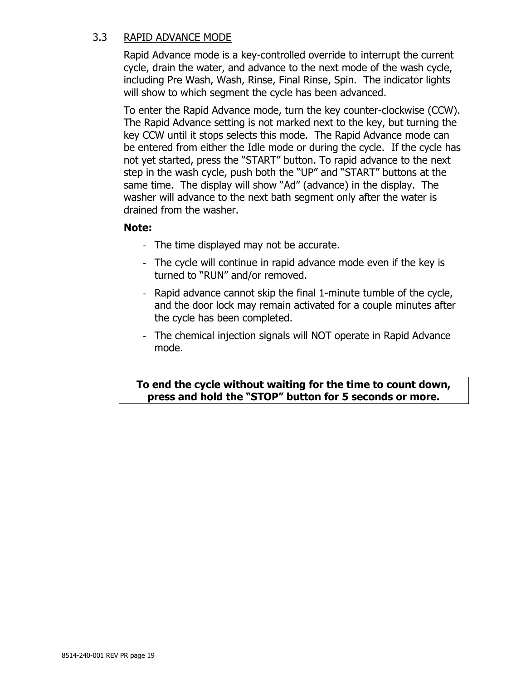#### 3.3 RAPID ADVANCE MODE

Rapid Advance mode is a key-controlled override to interrupt the current cycle, drain the water, and advance to the next mode of the wash cycle, including Pre Wash, Wash, Rinse, Final Rinse, Spin. The indicator lights will show to which segment the cycle has been advanced.

To enter the Rapid Advance mode, turn the key counter-clockwise (CCW). The Rapid Advance setting is not marked next to the key, but turning the key CCW until it stops selects this mode. The Rapid Advance mode can be entered from either the Idle mode or during the cycle. If the cycle has not yet started, press the "START" button. To rapid advance to the next step in the wash cycle, push both the "UP" and "START" buttons at the same time. The display will show "Ad" (advance) in the display. The washer will advance to the next bath segment only after the water is drained from the washer.

#### **Note:**

- The time displayed may not be accurate.
- The cycle will continue in rapid advance mode even if the key is turned to "RUN" and/or removed.
- Rapid advance cannot skip the final 1-minute tumble of the cycle, and the door lock may remain activated for a couple minutes after the cycle has been completed.
- The chemical injection signals will NOT operate in Rapid Advance mode.

#### **To end the cycle without waiting for the time to count down, press and hold the "STOP" button for 5 seconds or more.**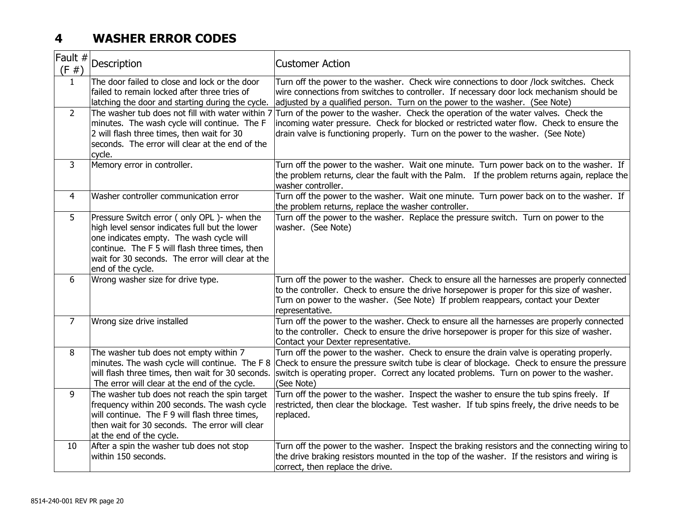# **4 WASHER ERROR CODES**

<span id="page-19-0"></span>

| Fault #<br>(F#) | Description                                                                                                                                                                                                                                                         | <b>Customer Action</b>                                                                                                                                                                                                                                                                           |
|-----------------|---------------------------------------------------------------------------------------------------------------------------------------------------------------------------------------------------------------------------------------------------------------------|--------------------------------------------------------------------------------------------------------------------------------------------------------------------------------------------------------------------------------------------------------------------------------------------------|
| $\mathbf{1}$    | The door failed to close and lock or the door<br>failed to remain locked after three tries of<br>latching the door and starting during the cycle.                                                                                                                   | Turn off the power to the washer. Check wire connections to door /lock switches. Check<br>wire connections from switches to controller. If necessary door lock mechanism should be<br>adjusted by a qualified person. Turn on the power to the washer. (See Note)                                |
| $\overline{2}$  | The washer tub does not fill with water within 7<br>minutes. The wash cycle will continue. The F<br>2 will flash three times, then wait for 30<br>seconds. The error will clear at the end of the<br>cycle.                                                         | Turn of the power to the washer. Check the operation of the water valves. Check the<br>incoming water pressure. Check for blocked or restricted water flow. Check to ensure the<br>drain valve is functioning properly. Turn on the power to the washer. (See Note)                              |
| 3               | Memory error in controller.                                                                                                                                                                                                                                         | Turn off the power to the washer. Wait one minute. Turn power back on to the washer. If<br>the problem returns, clear the fault with the Palm. If the problem returns again, replace the<br>washer controller.                                                                                   |
| $\overline{4}$  | Washer controller communication error                                                                                                                                                                                                                               | Turn off the power to the washer. Wait one minute. Turn power back on to the washer. If<br>the problem returns, replace the washer controller.                                                                                                                                                   |
| 5               | Pressure Switch error (only OPL)- when the<br>high level sensor indicates full but the lower<br>one indicates empty. The wash cycle will<br>continue. The F 5 will flash three times, then<br>wait for 30 seconds. The error will clear at the<br>end of the cycle. | Turn off the power to the washer. Replace the pressure switch. Turn on power to the<br>washer. (See Note)                                                                                                                                                                                        |
| 6               | Wrong washer size for drive type.                                                                                                                                                                                                                                   | Turn off the power to the washer. Check to ensure all the harnesses are properly connected<br>to the controller. Check to ensure the drive horsepower is proper for this size of washer.<br>Turn on power to the washer. (See Note) If problem reappears, contact your Dexter<br>representative. |
| $\overline{7}$  | Wrong size drive installed                                                                                                                                                                                                                                          | Turn off the power to the washer. Check to ensure all the harnesses are properly connected<br>to the controller. Check to ensure the drive horsepower is proper for this size of washer.<br>Contact your Dexter representative.                                                                  |
| 8               | The washer tub does not empty within 7<br>minutes. The wash cycle will continue. The F 8<br>will flash three times, then wait for 30 seconds.<br>The error will clear at the end of the cycle.                                                                      | Turn off the power to the washer. Check to ensure the drain valve is operating properly.<br>Check to ensure the pressure switch tube is clear of blockage. Check to ensure the pressure<br>switch is operating proper. Correct any located problems. Turn on power to the washer.<br>(See Note)  |
| 9               | The washer tub does not reach the spin target<br>frequency within 200 seconds. The wash cycle<br>will continue. The F 9 will flash three times,<br>then wait for 30 seconds. The error will clear<br>at the end of the cycle.                                       | Turn off the power to the washer. Inspect the washer to ensure the tub spins freely. If<br>restricted, then clear the blockage. Test washer. If tub spins freely, the drive needs to be<br>replaced.                                                                                             |
| 10              | After a spin the washer tub does not stop<br>within 150 seconds.                                                                                                                                                                                                    | Turn off the power to the washer. Inspect the braking resistors and the connecting wiring to<br>the drive braking resistors mounted in the top of the washer. If the resistors and wiring is<br>correct, then replace the drive.                                                                 |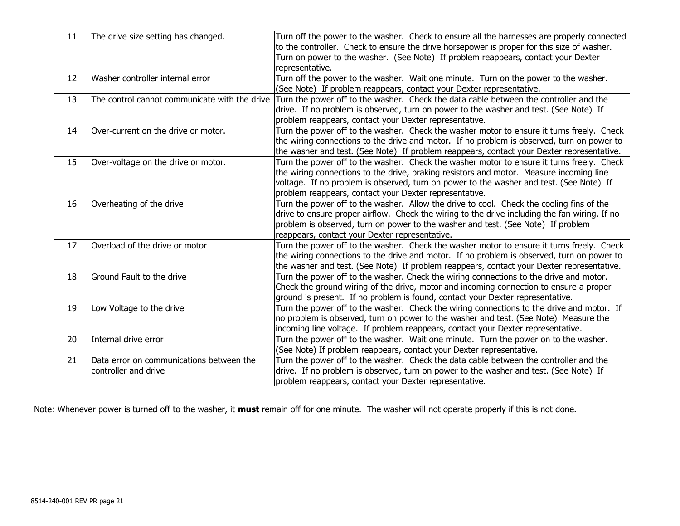| 11 | The drive size setting has changed.                              | Turn off the power to the washer. Check to ensure all the harnesses are properly connected<br>to the controller. Check to ensure the drive horsepower is proper for this size of washer.<br>Turn on power to the washer. (See Note) If problem reappears, contact your Dexter<br>representative.                                          |
|----|------------------------------------------------------------------|-------------------------------------------------------------------------------------------------------------------------------------------------------------------------------------------------------------------------------------------------------------------------------------------------------------------------------------------|
| 12 | Washer controller internal error                                 | Turn off the power to the washer. Wait one minute. Turn on the power to the washer.<br>(See Note) If problem reappears, contact your Dexter representative.                                                                                                                                                                               |
| 13 | The control cannot communicate with the drive                    | Turn the power off to the washer. Check the data cable between the controller and the<br>drive. If no problem is observed, turn on power to the washer and test. (See Note) If<br>problem reappears, contact your Dexter representative.                                                                                                  |
| 14 | Over-current on the drive or motor.                              | Turn the power off to the washer. Check the washer motor to ensure it turns freely. Check<br>the wiring connections to the drive and motor. If no problem is observed, turn on power to<br>the washer and test. (See Note) If problem reappears, contact your Dexter representative.                                                      |
| 15 | Over-voltage on the drive or motor.                              | Turn the power off to the washer. Check the washer motor to ensure it turns freely. Check<br>the wiring connections to the drive, braking resistors and motor. Measure incoming line<br>voltage. If no problem is observed, turn on power to the washer and test. (See Note) If<br>problem reappears, contact your Dexter representative. |
| 16 | Overheating of the drive                                         | Turn the power off to the washer. Allow the drive to cool. Check the cooling fins of the<br>drive to ensure proper airflow. Check the wiring to the drive including the fan wiring. If no<br>problem is observed, turn on power to the washer and test. (See Note) If problem<br>reappears, contact your Dexter representative.           |
| 17 | Overload of the drive or motor                                   | Turn the power off to the washer. Check the washer motor to ensure it turns freely. Check<br>the wiring connections to the drive and motor. If no problem is observed, turn on power to<br>the washer and test. (See Note) If problem reappears, contact your Dexter representative.                                                      |
| 18 | Ground Fault to the drive                                        | Turn the power off to the washer. Check the wiring connections to the drive and motor.<br>Check the ground wiring of the drive, motor and incoming connection to ensure a proper<br>ground is present. If no problem is found, contact your Dexter representative.                                                                        |
| 19 | Low Voltage to the drive                                         | Turn the power off to the washer. Check the wiring connections to the drive and motor. If<br>no problem is observed, turn on power to the washer and test. (See Note) Measure the<br>incoming line voltage. If problem reappears, contact your Dexter representative.                                                                     |
| 20 | Internal drive error                                             | Turn the power off to the washer. Wait one minute. Turn the power on to the washer.<br>(See Note) If problem reappears, contact your Dexter representative.                                                                                                                                                                               |
| 21 | Data error on communications between the<br>controller and drive | Turn the power off to the washer. Check the data cable between the controller and the<br>drive. If no problem is observed, turn on power to the washer and test. (See Note) If<br>problem reappears, contact your Dexter representative.                                                                                                  |

Note: Whenever power is turned off to the washer, it **must** remain off for one minute. The washer will not operate properly if this is not done.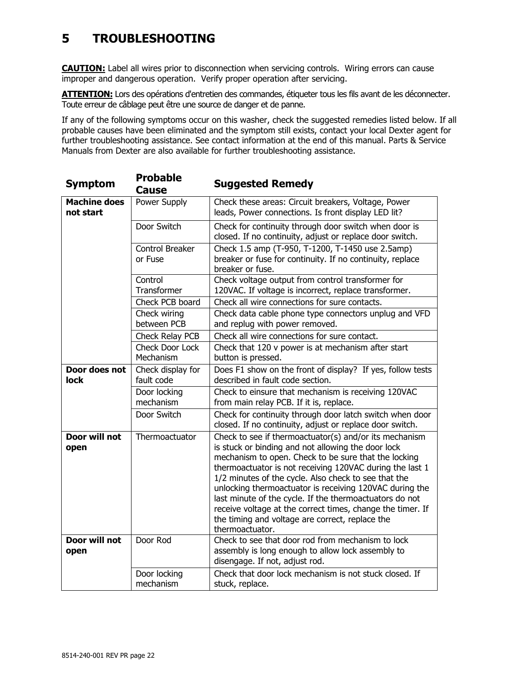# <span id="page-21-0"></span>**5 TROUBLESHOOTING**

**CAUTION:** Label all wires prior to disconnection when servicing controls. Wiring errors can cause improper and dangerous operation. Verify proper operation after servicing.

**ATTENTION:** Lors des opérations d'entretien des commandes, étiqueter tous les fils avant de les déconnecter. Toute erreur de câblage peut être une source de danger et de panne.

If any of the following symptoms occur on this washer, check the suggested remedies listed below. If all probable causes have been eliminated and the symptom still exists, contact your local Dexter agent for further troubleshooting assistance. See contact information at the end of this manual. Parts & Service Manuals from Dexter are also available for further troubleshooting assistance.

| <b>Symptom</b>                   | <b>Probable</b><br><b>Cause</b>   | <b>Suggested Remedy</b>                                                                                                                                                                                                                                                                                                                                                                                                                                                                                                                            |
|----------------------------------|-----------------------------------|----------------------------------------------------------------------------------------------------------------------------------------------------------------------------------------------------------------------------------------------------------------------------------------------------------------------------------------------------------------------------------------------------------------------------------------------------------------------------------------------------------------------------------------------------|
| <b>Machine does</b><br>not start | Power Supply                      | Check these areas: Circuit breakers, Voltage, Power<br>leads, Power connections. Is front display LED lit?                                                                                                                                                                                                                                                                                                                                                                                                                                         |
|                                  | Door Switch                       | Check for continuity through door switch when door is<br>closed. If no continuity, adjust or replace door switch.                                                                                                                                                                                                                                                                                                                                                                                                                                  |
|                                  | <b>Control Breaker</b><br>or Fuse | Check 1.5 amp (T-950, T-1200, T-1450 use 2.5amp)<br>breaker or fuse for continuity. If no continuity, replace<br>breaker or fuse.                                                                                                                                                                                                                                                                                                                                                                                                                  |
|                                  | Control<br>Transformer            | Check voltage output from control transformer for<br>120VAC. If voltage is incorrect, replace transformer.                                                                                                                                                                                                                                                                                                                                                                                                                                         |
|                                  | Check PCB board                   | Check all wire connections for sure contacts.                                                                                                                                                                                                                                                                                                                                                                                                                                                                                                      |
|                                  | Check wiring<br>between PCB       | Check data cable phone type connectors unplug and VFD<br>and replug with power removed.                                                                                                                                                                                                                                                                                                                                                                                                                                                            |
|                                  | Check Relay PCB                   | Check all wire connections for sure contact.                                                                                                                                                                                                                                                                                                                                                                                                                                                                                                       |
|                                  | Check Door Lock<br>Mechanism      | Check that 120 v power is at mechanism after start<br>button is pressed.                                                                                                                                                                                                                                                                                                                                                                                                                                                                           |
| Door does not<br><b>lock</b>     | Check display for<br>fault code   | Does F1 show on the front of display? If yes, follow tests<br>described in fault code section.                                                                                                                                                                                                                                                                                                                                                                                                                                                     |
|                                  | Door locking<br>mechanism         | Check to einsure that mechanism is receiving 120VAC<br>from main relay PCB. If it is, replace.                                                                                                                                                                                                                                                                                                                                                                                                                                                     |
|                                  | Door Switch                       | Check for continuity through door latch switch when door<br>closed. If no continuity, adjust or replace door switch.                                                                                                                                                                                                                                                                                                                                                                                                                               |
| Door will not<br>open            | Thermoactuator                    | Check to see if thermoactuator(s) and/or its mechanism<br>is stuck or binding and not allowing the door lock<br>mechanism to open. Check to be sure that the locking<br>thermoactuator is not receiving 120VAC during the last 1<br>1/2 minutes of the cycle. Also check to see that the<br>unlocking thermoactuator is receiving 120VAC during the<br>last minute of the cycle. If the thermoactuators do not<br>receive voltage at the correct times, change the timer. If<br>the timing and voltage are correct, replace the<br>thermoactuator. |
| Door will not<br>open            | Door Rod                          | Check to see that door rod from mechanism to lock<br>assembly is long enough to allow lock assembly to<br>disengage. If not, adjust rod.                                                                                                                                                                                                                                                                                                                                                                                                           |
|                                  | Door locking<br>mechanism         | Check that door lock mechanism is not stuck closed. If<br>stuck, replace.                                                                                                                                                                                                                                                                                                                                                                                                                                                                          |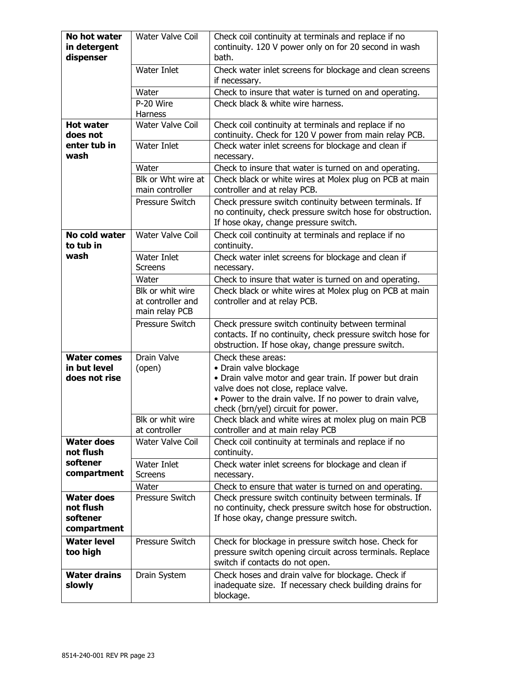| No hot water<br>in detergent<br>dispenser                 | Water Valve Coil                                        | Check coil continuity at terminals and replace if no<br>continuity. 120 V power only on for 20 second in wash<br>bath.                                                                                                                          |
|-----------------------------------------------------------|---------------------------------------------------------|-------------------------------------------------------------------------------------------------------------------------------------------------------------------------------------------------------------------------------------------------|
|                                                           | Water Inlet                                             | Check water inlet screens for blockage and clean screens<br>if necessary.                                                                                                                                                                       |
|                                                           | Water                                                   | Check to insure that water is turned on and operating.                                                                                                                                                                                          |
|                                                           | P-20 Wire<br>Harness                                    | Check black & white wire harness.                                                                                                                                                                                                               |
| <b>Hot water</b><br>does not                              | <b>Water Valve Coil</b>                                 | Check coil continuity at terminals and replace if no<br>continuity. Check for 120 V power from main relay PCB.                                                                                                                                  |
| enter tub in<br>wash                                      | Water Inlet                                             | Check water inlet screens for blockage and clean if<br>necessary.                                                                                                                                                                               |
|                                                           | Water                                                   | Check to insure that water is turned on and operating.                                                                                                                                                                                          |
|                                                           | Blk or Wht wire at<br>main controller                   | Check black or white wires at Molex plug on PCB at main<br>controller and at relay PCB.                                                                                                                                                         |
|                                                           | Pressure Switch                                         | Check pressure switch continuity between terminals. If<br>no continuity, check pressure switch hose for obstruction.<br>If hose okay, change pressure switch.                                                                                   |
| No cold water<br>to tub in                                | Water Valve Coil                                        | Check coil continuity at terminals and replace if no<br>continuity.                                                                                                                                                                             |
| wash                                                      | Water Inlet<br><b>Screens</b>                           | Check water inlet screens for blockage and clean if<br>necessary.                                                                                                                                                                               |
|                                                           | Water                                                   | Check to insure that water is turned on and operating.                                                                                                                                                                                          |
|                                                           | Blk or whit wire<br>at controller and<br>main relay PCB | Check black or white wires at Molex plug on PCB at main<br>controller and at relay PCB.                                                                                                                                                         |
|                                                           | Pressure Switch                                         | Check pressure switch continuity between terminal<br>contacts. If no continuity, check pressure switch hose for<br>obstruction. If hose okay, change pressure switch.                                                                           |
| <b>Water comes</b><br>in but level<br>does not rise       | <b>Drain Valve</b><br>(open)                            | Check these areas:<br>• Drain valve blockage<br>• Drain valve motor and gear train. If power but drain<br>valve does not close, replace valve.<br>. Power to the drain valve. If no power to drain valve,<br>check (brn/yel) circuit for power. |
|                                                           | Blk or whit wire<br>at controller                       | Check black and white wires at molex plug on main PCB<br>controller and at main relay PCB                                                                                                                                                       |
| <b>Water does</b><br>not flush                            | <b>Water Valve Coil</b>                                 | Check coil continuity at terminals and replace if no<br>continuity.                                                                                                                                                                             |
| softener<br>compartment                                   | Water Inlet<br><b>Screens</b>                           | Check water inlet screens for blockage and clean if<br>necessary.                                                                                                                                                                               |
|                                                           | Water                                                   | Check to ensure that water is turned on and operating.                                                                                                                                                                                          |
| <b>Water does</b><br>not flush<br>softener<br>compartment | Pressure Switch                                         | Check pressure switch continuity between terminals. If<br>no continuity, check pressure switch hose for obstruction.<br>If hose okay, change pressure switch.                                                                                   |
| <b>Water level</b><br>too high                            | Pressure Switch                                         | Check for blockage in pressure switch hose. Check for<br>pressure switch opening circuit across terminals. Replace<br>switch if contacts do not open.                                                                                           |
| <b>Water drains</b><br>slowly                             | Drain System                                            | Check hoses and drain valve for blockage. Check if<br>inadequate size. If necessary check building drains for<br>blockage.                                                                                                                      |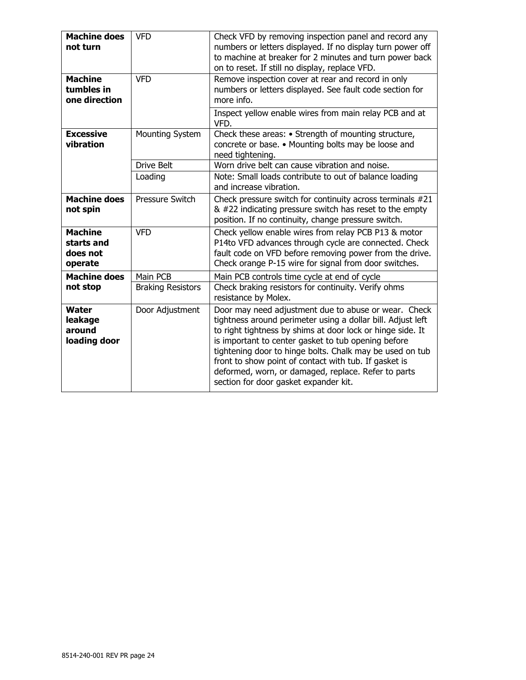| <b>Machine does</b><br>not turn                     | <b>VFD</b>               | Check VFD by removing inspection panel and record any<br>numbers or letters displayed. If no display turn power off<br>to machine at breaker for 2 minutes and turn power back<br>on to reset. If still no display, replace VFD.                                                                                                                                                                                                                              |
|-----------------------------------------------------|--------------------------|---------------------------------------------------------------------------------------------------------------------------------------------------------------------------------------------------------------------------------------------------------------------------------------------------------------------------------------------------------------------------------------------------------------------------------------------------------------|
| <b>Machine</b><br>tumbles in<br>one direction       | <b>VFD</b>               | Remove inspection cover at rear and record in only<br>numbers or letters displayed. See fault code section for<br>more info.                                                                                                                                                                                                                                                                                                                                  |
|                                                     |                          | Inspect yellow enable wires from main relay PCB and at<br>VFD.                                                                                                                                                                                                                                                                                                                                                                                                |
| <b>Excessive</b><br>vibration                       | Mounting System          | Check these areas: • Strength of mounting structure,<br>concrete or base. • Mounting bolts may be loose and<br>need tightening.                                                                                                                                                                                                                                                                                                                               |
|                                                     | <b>Drive Belt</b>        | Worn drive belt can cause vibration and noise.                                                                                                                                                                                                                                                                                                                                                                                                                |
|                                                     | Loading                  | Note: Small loads contribute to out of balance loading<br>and increase vibration.                                                                                                                                                                                                                                                                                                                                                                             |
| <b>Machine does</b><br>not spin                     | <b>Pressure Switch</b>   | Check pressure switch for continuity across terminals #21<br>& #22 indicating pressure switch has reset to the empty<br>position. If no continuity, change pressure switch.                                                                                                                                                                                                                                                                                   |
| <b>Machine</b><br>starts and<br>does not<br>operate | <b>VFD</b>               | Check yellow enable wires from relay PCB P13 & motor<br>P14to VFD advances through cycle are connected. Check<br>fault code on VFD before removing power from the drive.<br>Check orange P-15 wire for signal from door switches.                                                                                                                                                                                                                             |
| <b>Machine does</b>                                 | Main PCB                 | Main PCB controls time cycle at end of cycle                                                                                                                                                                                                                                                                                                                                                                                                                  |
| not stop                                            | <b>Braking Resistors</b> | Check braking resistors for continuity. Verify ohms<br>resistance by Molex.                                                                                                                                                                                                                                                                                                                                                                                   |
| <b>Water</b><br>leakage<br>around<br>loading door   | Door Adjustment          | Door may need adjustment due to abuse or wear. Check<br>tightness around perimeter using a dollar bill. Adjust left<br>to right tightness by shims at door lock or hinge side. It<br>is important to center gasket to tub opening before<br>tightening door to hinge bolts. Chalk may be used on tub<br>front to show point of contact with tub. If gasket is<br>deformed, worn, or damaged, replace. Refer to parts<br>section for door gasket expander kit. |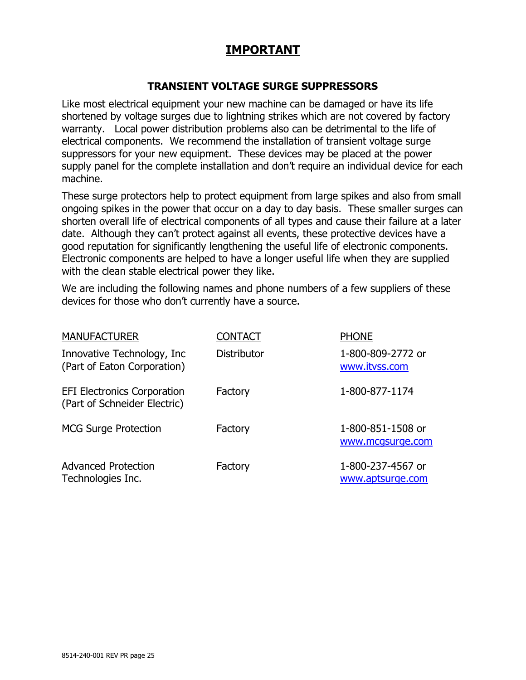## **IMPORTANT**

#### **TRANSIENT VOLTAGE SURGE SUPPRESSORS**

Like most electrical equipment your new machine can be damaged or have its life shortened by voltage surges due to lightning strikes which are not covered by factory warranty. Local power distribution problems also can be detrimental to the life of electrical components. We recommend the installation of transient voltage surge suppressors for your new equipment. These devices may be placed at the power supply panel for the complete installation and don't require an individual device for each machine.

These surge protectors help to protect equipment from large spikes and also from small ongoing spikes in the power that occur on a day to day basis. These smaller surges can shorten overall life of electrical components of all types and cause their failure at a later date. Although they can't protect against all events, these protective devices have a good reputation for significantly lengthening the useful life of electronic components. Electronic components are helped to have a longer useful life when they are supplied with the clean stable electrical power they like.

We are including the following names and phone numbers of a few suppliers of these devices for those who don't currently have a source.

| <b>MANUFACTURER</b>                                                | CONTACT            | <b>PHONE</b>                          |
|--------------------------------------------------------------------|--------------------|---------------------------------------|
| Innovative Technology, Inc.<br>(Part of Eaton Corporation)         | <b>Distributor</b> | 1-800-809-2772 or<br>www.itvss.com    |
| <b>EFI Electronics Corporation</b><br>(Part of Schneider Electric) | Factory            | 1-800-877-1174                        |
| <b>MCG Surge Protection</b>                                        | Factory            | 1-800-851-1508 or<br>www.mcqsurge.com |
| <b>Advanced Protection</b><br>Technologies Inc.                    | Factory            | 1-800-237-4567 or<br>www.aptsurge.com |